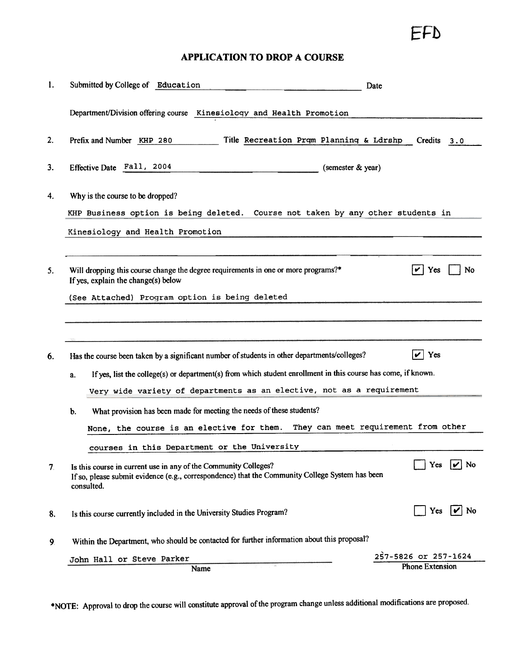EFD

## APPLICATION TO DROP A COURSE

| 1.                             |                                                                                                                                                                                               | Submitted by College of Education<br>Date                                                                                 |                                      |  |
|--------------------------------|-----------------------------------------------------------------------------------------------------------------------------------------------------------------------------------------------|---------------------------------------------------------------------------------------------------------------------------|--------------------------------------|--|
|                                |                                                                                                                                                                                               | Department/Division offering course Kinesiology and Health Promotion                                                      |                                      |  |
| 2.                             |                                                                                                                                                                                               | Prefix and Number KHP 280<br>Title Recreation Prgm Planning & Ldrshp Credits                                              | 3.0                                  |  |
| 3.                             |                                                                                                                                                                                               | Effective Date Fall, 2004<br>(semester & year)                                                                            |                                      |  |
| 4.                             |                                                                                                                                                                                               | Why is the course to be dropped?<br>Course not taken by any other students in<br>KHP Business option is being deleted.    |                                      |  |
|                                |                                                                                                                                                                                               | Kinesiology and Health Promotion                                                                                          |                                      |  |
| 5.                             |                                                                                                                                                                                               | Will dropping this course change the degree requirements in one or more programs?*<br>If yes, explain the change(s) below | No<br>Yes                            |  |
|                                |                                                                                                                                                                                               | (See Attached) Program option is being deleted                                                                            |                                      |  |
|                                |                                                                                                                                                                                               |                                                                                                                           |                                      |  |
| 6.                             |                                                                                                                                                                                               | Yes<br>Has the course been taken by a significant number of students in other departments/colleges?<br>V                  |                                      |  |
|                                | If yes, list the college(s) or department(s) from which student enrollment in this course has come, if known.<br>a.                                                                           |                                                                                                                           |                                      |  |
|                                |                                                                                                                                                                                               | Very wide variety of departments as an elective, not as a requirement                                                     |                                      |  |
|                                | b.                                                                                                                                                                                            | What provision has been made for meeting the needs of these students?                                                     |                                      |  |
|                                |                                                                                                                                                                                               | None, the course is an elective for them.                                                                                 | They can meet requirement from other |  |
|                                |                                                                                                                                                                                               | courses in this Department or the University                                                                              |                                      |  |
| 7.                             | No<br>Yes<br>Is this course in current use in any of the Community Colleges?<br>If so, please submit evidence (e.g., correspondence) that the Community College System has been<br>consulted. |                                                                                                                           |                                      |  |
| 8.                             |                                                                                                                                                                                               | Yes<br>No<br>IVI.<br>Is this course currently included in the University Studies Program?                                 |                                      |  |
| 9.                             | Within the Department, who should be contacted for further information about this proposal?                                                                                                   |                                                                                                                           |                                      |  |
|                                |                                                                                                                                                                                               | John Hall or Steve Parker                                                                                                 | 257-5826 or 257-1624                 |  |
| <b>Phone Extension</b><br>Name |                                                                                                                                                                                               |                                                                                                                           |                                      |  |

.NOTE: Approval to drop the course will constitute approval of the program change unless additional modifications are proposed.